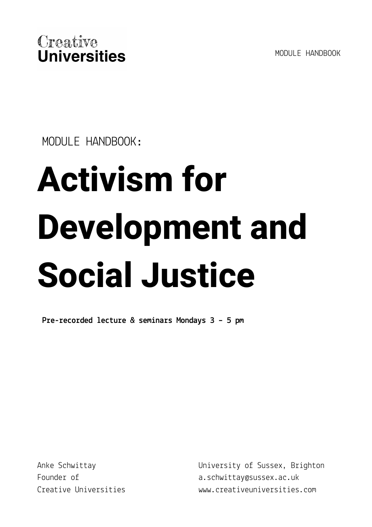MODULE HANDBOOK



MODULE HANDBOOK:

# **Activism for Development and Social Justice**

**Pre-recorded lecture & seminars Mondays 3 – 5 pm**

Anke Schwittay Founder of Creative Universities University of Sussex, Brighton a.schwittay@sussex.ac.uk www.creativeuniversities.com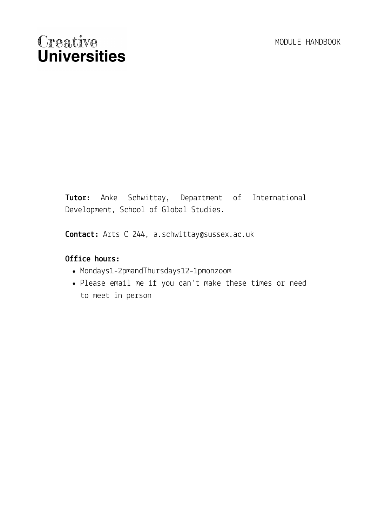**Tutor:** Anke Schwittay, Department of International Development, School of Global Studies.

**Contact:** Arts C 244, a.schwittay@sussex.ac.uk

#### **Office hours:**

- Mondays1-2pmandThursdays12-1pmonzoom
- Please email me if you can't make these times or need to meet in person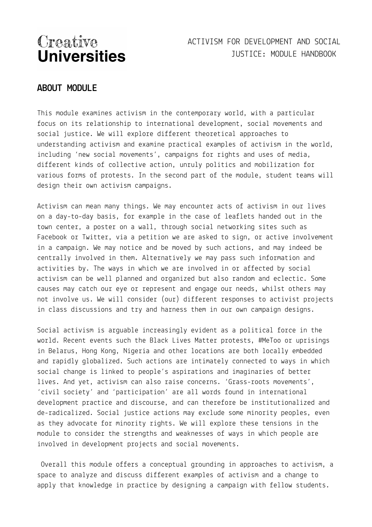## ACTIVISM FOR DEVELOPMENT AND SOCIAL JUSTICE: MODULE HANDBOOK

#### **ABOUT MODULE**

This module examines activism in the contemporary world, with a particular focus on its relationship to international development, social movements and social justice. We will explore different theoretical approaches to understanding activism and examine practical examples of activism in the world, including 'new social movements', campaigns for rights and uses of media, different kinds of collective action, unruly politics and mobilization for various forms of protests. In the second part of the module, student teams will design their own activism campaigns.

Activism can mean many things. We may encounter acts of activism in our lives on a day-to-day basis, for example in the case of leaflets handed out in the town center, a poster on a wall, through social networking sites such as Facebook or Twitter, via a petition we are asked to sign, or active involvement in a campaign. We may notice and be moved by such actions, and may indeed be centrally involved in them. Alternatively we may pass such information and activities by. The ways in which we are involved in or affected by social activism can be well planned and organized but also random and eclectic. Some causes may catch our eye or represent and engage our needs, whilst others may not involve us. We will consider (our) different responses to activist projects in class discussions and try and harness them in our own campaign designs.

Social activism is arguable increasingly evident as a political force in the world. Recent events such the Black Lives Matter protests, #MeToo or uprisings in Belarus, Hong Kong, Nigeria and other locations are both locally embedded and rapidly globalized. Such actions are intimately connected to ways in which social change is linked to people's aspirations and imaginaries of better lives. And yet, activism can also raise concerns. 'Grass-roots movements', 'civil society' and 'participation' are all words found in international development practice and discourse, and can therefore be institutionalized and de-radicalized. Social justice actions may exclude some minority peoples, even as they advocate for minority rights. We will explore these tensions in the module to consider the strengths and weaknesses of ways in which people are involved in development projects and social movements.

Overall this module offers a conceptual grounding in approaches to activism, a space to analyze and discuss different examples of activism and a change to apply that knowledge in practice by designing a campaign with fellow students.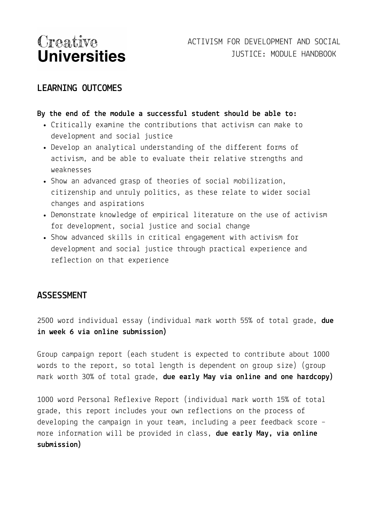#### **LEARNING OUTCOMES**

#### **By the end of the module a successful student should be able to:**

- Critically examine the contributions that activism can make to development and social justice
- Develop an analytical understanding of the different forms of activism, and be able to evaluate their relative strengths and weaknesses
- Show an advanced grasp of theories of social mobilization, citizenship and unruly politics, as these relate to wider social changes and aspirations
- Demonstrate knowledge of empirical literature on the use of activism for development, social justice and social change
- Show advanced skills in critical engagement with activism for development and social justice through practical experience and reflection on that experience

#### **ASSESSMENT**

2500 word individual essay (individual mark worth 55% of total grade, **due in week 6 via online submission)**

Group campaign report (each student is expected to contribute about 1000 words to the report, so total length is dependent on group size) (group mark worth 30% of total grade, **due early May via online and one hardcopy)**

1000 word Personal Reflexive Report (individual mark worth 15% of total grade, this report includes your own reflections on the process of developing the campaign in your team, including a peer feedback score – more information will be provided in class, **due early May, via online submission)**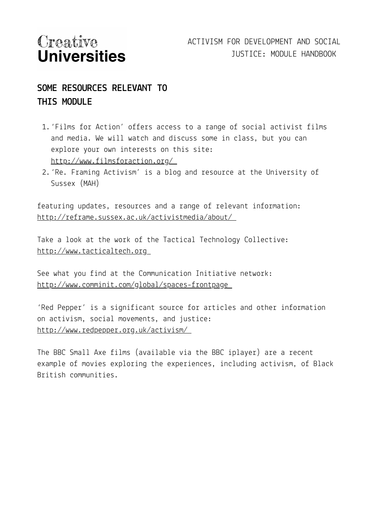## **SOME RESOURCES RELEVANT TO THIS MODULE**

- 1.'Films for Action' offers access to a range of social activist films and media. We will watch and discuss some in class, but you can explore your own interests on this site: <http://www.filmsforaction.org/>
- 2.'Re. Framing Activism' is a blog and resource at the University of Sussex (MAH)

featuring updates, resources and a range of relevant information: <http://reframe.sussex.ac.uk/activistmedia/about/>

Take a look at the work of the Tactical Technology Collective: [http://www.tacticaltech.org](http://www.tacticaltech.org/)

See what you find at the Communication Initiative network: <http://www.comminit.com/global/spaces-frontpage>

'Red Pepper' is a significant source for articles and other information on activism, social movements, and justice: <http://www.redpepper.org.uk/activism/>

The BBC Small Axe films (available via the BBC iplayer) are a recent example of movies exploring the experiences, including activism, of Black British communities.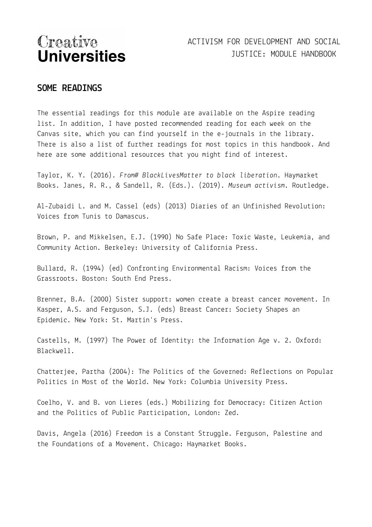## ACTIVISM FOR DEVELOPMENT AND SOCIAL JUSTICE: MODULE HANDBOOK

#### **SOME READINGS**

The essential readings for this module are available on the Aspire reading list. In addition, I have posted recommended reading for each week on the Canvas site, which you can find yourself in the e-journals in the library. There is also a list of further readings for most topics in this handbook. And here are some additional resources that you might find of interest.

Taylor, K. Y. (2016). *From# BlackLivesMatter to black liberation*. Haymarket Books. Janes, R. R., & Sandell, R. (Eds.). (2019). *Museum activism*. Routledge.

Al-Zubaidi L. and M. Cassel (eds) (2013) Diaries of an Unfinished Revolution: Voices from Tunis to Damascus.

Brown, P. and Mikkelsen, E.J. (1990) No Safe Place: Toxic Waste, Leukemia, and Community Action. Berkeley: University of California Press.

Bullard, R. (1994) (ed) Confronting Environmental Racism: Voices from the Grassroots. Boston: South End Press.

Brenner, B.A. (2000) Sister support: women create a breast cancer movement. In Kasper, A.S. and Ferguson, S.J. (eds) Breast Cancer: Society Shapes an Epidemic. New York: St. Martin's Press.

Castells, M. (1997) The Power of Identity: the Information Age v. 2. Oxford: Blackwell.

Chatterjee, Partha (2004): The Politics of the Governed: Reflections on Popular Politics in Most of the World. New York: Columbia University Press.

Coelho, V. and B. von Lieres (eds.) Mobilizing for Democracy: Citizen Action and the Politics of Public Participation, London: Zed.

Davis, Angela (2016) Freedom is a Constant Struggle. Ferguson, Palestine and the Foundations of a Movement. Chicago: Haymarket Books.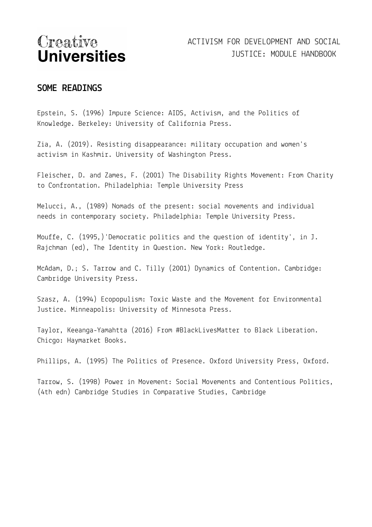#### **SOME READINGS**

Epstein, S. (1996) Impure Science: AIDS, Activism, and the Politics of Knowledge. Berkeley: University of California Press.

Zia, A. (2019). Resisting disappearance: military occupation and women's activism in Kashmir. University of Washington Press.

Fleischer, D. and Zames, F. (2001) The Disability Rights Movement: From Charity to Confrontation. Philadelphia: Temple University Press

Melucci, A., (1989) Nomads of the present: social movements and individual needs in contemporary society. Philadelphia: Temple University Press.

Mouffe, C. (1995,)'Democratic politics and the question of identity', in J. Rajchman (ed), The Identity in Question. New York: Routledge.

McAdam, D.; S. Tarrow and C. Tilly (2001) Dynamics of Contention. Cambridge: Cambridge University Press.

Szasz, A. (1994) Ecopopulism: Toxic Waste and the Movement for Environmental Justice. Minneapolis: University of Minnesota Press.

Taylor, Keeanga-Yamahtta (2016) From #BlackLivesMatter to Black Liberation. Chicgo: Haymarket Books.

Phillips, A. (1995) The Politics of Presence. Oxford University Press, Oxford.

Tarrow, S. (1998) Power in Movement: Social Movements and Contentious Politics, (4th edn) Cambridge Studies in Comparative Studies, Cambridge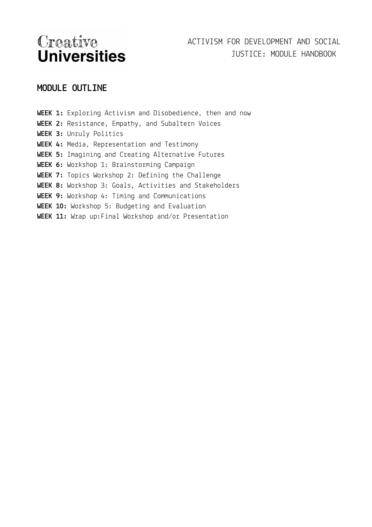## ACTIVISM FOR DEVELOPMENT AND SOCIAL JUSTICE: MODULE HANDBOOK

## **MODULE OUTLINE**

**WEEK 1:** Exploring Activism and Disobedience, then and now **WEEK 2:** Resistance, Empathy, and Subaltern Voices **WEEK 3:** Unruly Politics **WEEK 4:** Media, Representation and Testimony **WEEK 5:** Imagining and Creating Alternative Futures **WEEK 6:** Workshop 1: Brainstorming Campaign **WEEK 7:** Topics Workshop 2: Defining the Challenge **WEEK 8:** Workshop 3: Goals, Activities and Stakeholders **WEEK 9:** Workshop 4: Timing and Communications **WEEK 10:** Workshop 5: Budgeting and Evaluation **WEEK 11:** Wrap up:Final Workshop and/or Presentation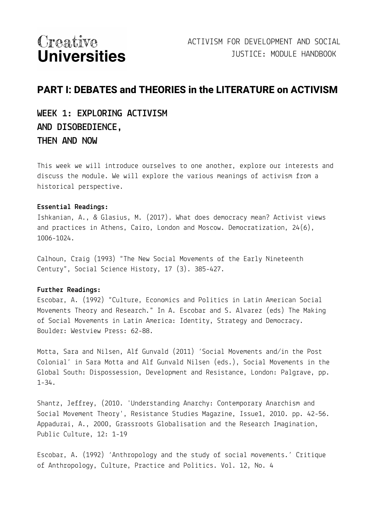## **PART I: DEBATES and THEORIES in the LITERATURE on ACTIVISM**

## **WEEK 1: EXPLORING ACTIVISM AND DISOBEDIENCE, THEN AND NOW**

This week we will introduce ourselves to one another, explore our interests and discuss the module. We will explore the various meanings of activism from a historical perspective.

#### **Essential Readings:**

Ishkanian, A., & Glasius, M. (2017). What does democracy mean? Activist views and practices in Athens, Cairo, London and Moscow. Democratization, 24(6), 1006-1024.

Calhoun, Craig (1993) "The New Social Movements of the Early Nineteenth Century", Social Science History, 17 (3). 385-427.

#### **Further Readings:**

Escobar, A. (1992) "Culture, Economics and Politics in Latin American Social Movements Theory and Research." In A. Escobar and S. Alvarez (eds) The Making of Social Movements in Latin America: Identity, Strategy and Democracy. Boulder: Westview Press: 62-88.

Motta, Sara and Nilsen, Alf Gunvald (2011) 'Social Movements and/in the Post Colonial' in Sara Motta and Alf Gunvald Nilsen (eds.), Social Movements in the Global South: Dispossession, Development and Resistance, London: Palgrave, pp. 1-34.

Shantz, Jeffrey, (2010. 'Understanding Anarchy: Contemporary Anarchism and Social Movement Theory', Resistance Studies Magazine, Issue1, 2010. pp. 42-56. Appadurai, A., 2000, Grassroots Globalisation and the Research Imagination, Public Culture, 12: 1-19

Escobar, A. (1992) 'Anthropology and the study of social movements.' Critique of Anthropology, Culture, Practice and Politics. Vol. 12, No. 4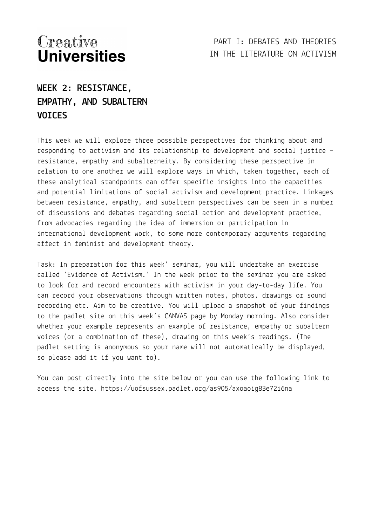PART I: DEBATES AND THEORIES IN THE LITERATURE ON ACTIVISM

**WEEK 2: RESISTANCE, EMPATHY, AND SUBALTERN VOICES**

This week we will explore three possible perspectives for thinking about and responding to activism and its relationship to development and social justice – resistance, empathy and subalterneity. By considering these perspective in relation to one another we will explore ways in which, taken together, each of these analytical standpoints can offer specific insights into the capacities and potential limitations of social activism and development practice. Linkages between resistance, empathy, and subaltern perspectives can be seen in a number of discussions and debates regarding social action and development practice, from advocacies regarding the idea of immersion or participation in international development work, to some more contemporary arguments regarding affect in feminist and development theory.

Task: In preparation for this week' seminar, you will undertake an exercise called 'Evidence of Activism.' In the week prior to the seminar you are asked to look for and record encounters with activism in your day-to-day life. You can record your observations through written notes, photos, drawings or sound recording etc. Aim to be creative. You will upload a snapshot of your findings to the padlet site on this week's CANVAS page by Monday morning. Also consider whether your example represents an example of resistance, empathy or subaltern voices (or a combination of these), drawing on this week's readings. (The padlet setting is anonymous so your name will not automatically be displayed, so please add it if you want to).

You can post directly into the site below or you can use the following link to access the site. https://uofsussex.padlet.org/as905/axoaoig83e72i6na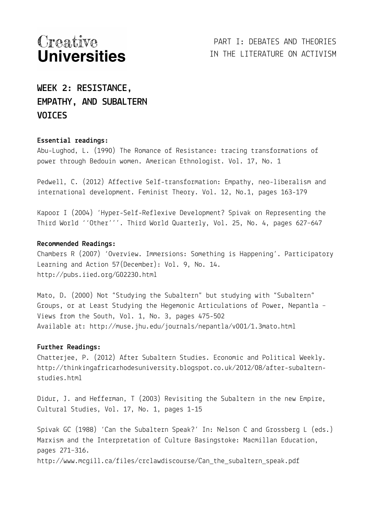## **WEEK 2: RESISTANCE, EMPATHY, AND SUBALTERN VOICES**

#### **Essential readings:**

Abu-Lughod, L. (1990) The Romance of Resistance: tracing transformations of power through Bedouin women. American Ethnologist. Vol. 17, No. 1

Pedwell, C. (2012) Affective Self-transformation: Empathy, neo-liberalism and international development. Feminist Theory. Vol. 12, No.1, pages 163-179

Kapoor I (2004) 'Hyper-Self-Reflexive Development? Spivak on Representing the Third World ''Other'''. Third World Quarterly, Vol. 25, No. 4, pages 627–647

#### **Recommended Readings:**

Chambers R (2007) 'Overview. Immersions: Something is Happening'. Participatory Learning and Action 57(December): Vol. 9, No. 14. http://pubs.iied.org/G02230.html

Mato, D. (2000) Not "Studying the Subaltern" but studying with "Subaltern" Groups, or at Least Studying the Hegemonic Articulations of Power, Nepantla – Views from the South, Vol. 1, No. 3, pages 475-502 Available at: http://muse.jhu.edu/journals/nepantla/v001/1.3mato.html

#### **Further Readings:**

Chatterjee, P. (2012) After Subaltern Studies. Economic and Political Weekly. http://thinkingafricarhodesuniversity.blogspot.co.uk/2012/08/after-subalternstudies.html

Didur, J. and Hefferman, T (2003) Revisiting the Subaltern in the new Empire, Cultural Studies, Vol. 17, No. 1, pages 1-15

Spivak GC (1988) 'Can the Subaltern Speak?' In: Nelson C and Grossberg L (eds.) Marxism and the Interpretation of Culture Basingstoke: Macmillan Education, pages 271–316.

http://www.mcgill.ca/files/crclawdiscourse/Can\_the\_subaltern\_speak.pdf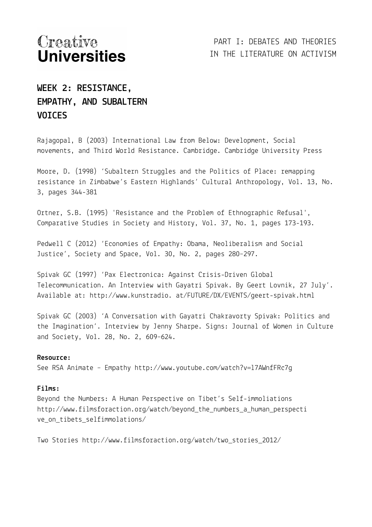## **WEEK 2: RESISTANCE, EMPATHY, AND SUBALTERN VOICES**

Rajagopal, B (2003) International Law from Below: Development, Social movements, and Third World Resistance. Cambridge. Cambridge University Press

Moore, D. (1998) 'Subaltern Struggles and the Politics of Place: remapping resistance in Zimbabwe's Eastern Highlands' Cultural Anthropology, Vol. 13, No. 3, pages 344-381

Ortner, S.B. (1995) 'Resistance and the Problem of Ethnographic Refusal', Comparative Studies in Society and History, Vol. 37, No. 1, pages 173-193.

Pedwell C (2012) 'Economies of Empathy: Obama, Neoliberalism and Social Justice', Society and Space, Vol. 30, No. 2, pages 280–297.

Spivak GC (1997) 'Pax Electronica: Against Crisis-Driven Global Telecommunication. An Interview with Gayatri Spivak. By Geert Lovnik, 27 July'. Available at: http://www.kunstradio. at/FUTURE/DX/EVENTS/geert-spivak.html

Spivak GC (2003) 'A Conversation with Gayatri Chakravorty Spivak: Politics and the Imagination'. Interview by Jenny Sharpe. Signs: Journal of Women in Culture and Society, Vol. 28, No. 2, 609–624.

#### **Resource:**

See RSA Animate – Empathy http://www.youtube.com/watch?v=l7AWnfFRc7g

#### **Films:**

Beyond the Numbers: A Human Perspective on Tibet's Self-immoliations http://www.filmsforaction.org/watch/beyond\_the\_numbers\_a\_human\_perspecti ve\_on\_tibets\_selfimmolations/

Two Stories http://www.filmsforaction.org/watch/two\_stories\_2012/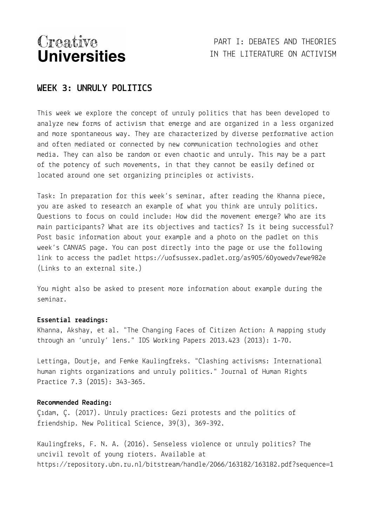## PART I: DEBATES AND THEORIES IN THE LITERATURE ON ACTIVISM

#### **WEEK 3: UNRULY POLITICS**

This week we explore the concept of unruly politics that has been developed to analyze new forms of activism that emerge and are organized in a less organized and more spontaneous way. They are characterized by diverse performative action and often mediated or connected by new communication technologies and other media. They can also be random or even chaotic and unruly. This may be a part of the potency of such movements, in that they cannot be easily defined or located around one set organizing principles or activists.

Task: In preparation for this week's seminar, after reading the Khanna piece, you are asked to research an example of what you think are unruly politics. Questions to focus on could include: How did the movement emerge? Who are its main participants? What are its objectives and tactics? Is it being successful? Post basic information about your example and a photo on the padlet on this week's CANVAS page. You can post directly into the page or use the following link to access the padlet https://uofsussex.padlet.org/as905/60yowedv7ewe982e (Links to an external site.)

You might also be asked to present more information about example during the seminar.

#### **Essential readings:**

Khanna, Akshay, et al. "The Changing Faces of Citizen Action: A mapping study through an 'unruly' lens." IDS Working Papers 2013.423 (2013): 1-70.

Lettinga, Doutje, and Femke Kaulingfreks. "Clashing activisms: International human rights organizations and unruly politics." Journal of Human Rights Practice 7.3 (2015): 343-365.

#### **Recommended Reading:**

Çıdam, Ç. (2017). Unruly practices: Gezi protests and the politics of friendship. New Political Science, 39(3), 369-392.

Kaulingfreks, F. N. A. (2016). Senseless violence or unruly politics? The uncivil revolt of young rioters. Available at https://repository.ubn.ru.nl/bitstream/handle/2066/163182/163182.pdf?sequence=1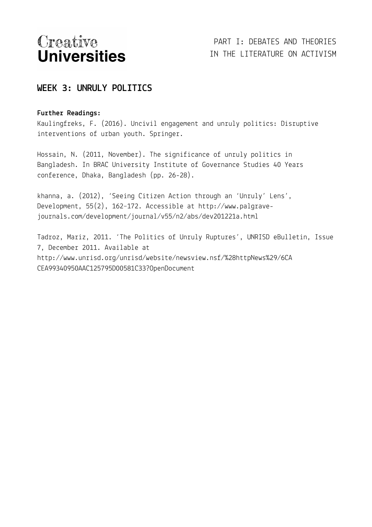## **WEEK 3: UNRULY POLITICS**

#### **Further Readings:**

Kaulingfreks, F. (2016). Uncivil engagement and unruly politics: Disruptive interventions of urban youth. Springer.

Hossain, N. (2011, November). The significance of unruly politics in Bangladesh. In BRAC University Institute of Governance Studies 40 Years conference, Dhaka, Bangladesh (pp. 26-28).

khanna, a. (2012), 'Seeing Citizen Action through an 'Unruly' Lens', Development, 55(2), 162–172. Accessible at http://www.palgravejournals.com/development/journal/v55/n2/abs/dev201221a.html

Tadroz, Mariz, 2011. 'The Politics of Unruly Ruptures', UNRISD eBulletin, Issue 7, December 2011. Available at http://www.unrisd.org/unrisd/website/newsview.nsf/%28httpNews%29/6CA CEA99340950AAC125795D00581C33?OpenDocument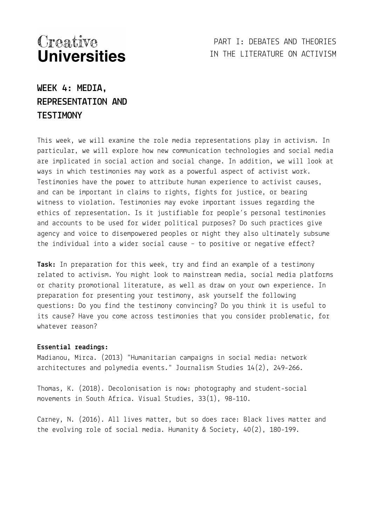### PART I: DEBATES AND THEORIES IN THE LITERATURE ON ACTIVISM

## **WEEK 4: MEDIA, REPRESENTATION AND TESTIMONY**

This week, we will examine the role media representations play in activism. In particular, we will explore how new communication technologies and social media are implicated in social action and social change. In addition, we will look at ways in which testimonies may work as a powerful aspect of activist work. Testimonies have the power to attribute human experience to activist causes, and can be important in claims to rights, fights for justice, or bearing witness to violation. Testimonies may evoke important issues regarding the ethics of representation. Is it justifiable for people's personal testimonies and accounts to be used for wider political purposes? Do such practices give agency and voice to disempowered peoples or might they also ultimately subsume the individual into a wider social cause – to positive or negative effect?

**Task:** In preparation for this week, try and find an example of a testimony related to activism. You might look to mainstream media, social media platforms or charity promotional literature, as well as draw on your own experience. In preparation for presenting your testimony, ask yourself the following questions: Do you find the testimony convincing? Do you think it is useful to its cause? Have you come across testimonies that you consider problematic, for whatever reason?

#### **Essential readings:**

Madianou, Mirca. (2013) "Humanitarian campaigns in social media: network architectures and polymedia events." Journalism Studies 14(2), 249-266.

Thomas, K. (2018). Decolonisation is now: photography and student-social movements in South Africa. Visual Studies, 33(1), 98-110.

Carney, N. (2016). All lives matter, but so does race: Black lives matter and the evolving role of social media. Humanity & Society, 40(2), 180-199.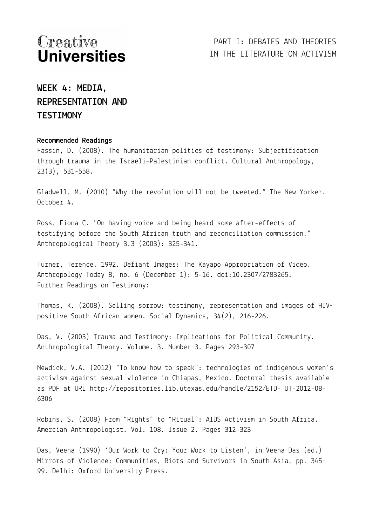## PART I: DEBATES AND THEORIES IN THE LITERATURE ON ACTIVISM

## **WEEK 4: MEDIA, REPRESENTATION AND TESTIMONY**

#### **Recommended Readings**

Fassin, D. (2008). The humanitarian politics of testimony: Subjectification through trauma in the Israeli–Palestinian conflict. Cultural Anthropology, 23(3), 531-558.

Gladwell, M. (2010) "Why the revolution will not be tweeted." The New Yorker. October 4.

Ross, Fiona C. "On having voice and being heard some after-effects of testifying before the South African truth and reconciliation commission." Anthropological Theory 3.3 (2003): 325-341.

Turner, Terence. 1992. Defiant Images: The Kayapo Appropriation of Video. Anthropology Today 8, no. 6 (December 1): 5-16. doi:10.2307/2783265. Further Readings on Testimony:

Thomas, K. (2008). Selling sorrow: testimony, representation and images of HIV‐ positive South African women. Social Dynamics, 34(2), 216-226.

Das, V. (2003) Trauma and Testimony: Implications for Political Community. Anthropological Theory. Volume. 3. Number 3. Pages 293-307

Newdick, V.A. (2012) "To know how to speak": technologies of indigenous women's activism against sexual violence in Chiapas, Mexico. Doctoral thesis available as PDF at URL http://repositories.lib.utexas.edu/handle/2152/ETD- UT-2012-08- 6306

Robins, S. (2008) From "Rights" to "Ritual": AIDS Activism in South Africa. Amercian Anthropologist. Vol. 108. Issue 2. Pages 312-323

Das, Veena (1990) 'Our Work to Cry: Your Work to Listen', in Veena Das (ed.) Mirrors of Violence: Communities, Riots and Survivors in South Asia, pp. 345– 99. Delhi: Oxford University Press.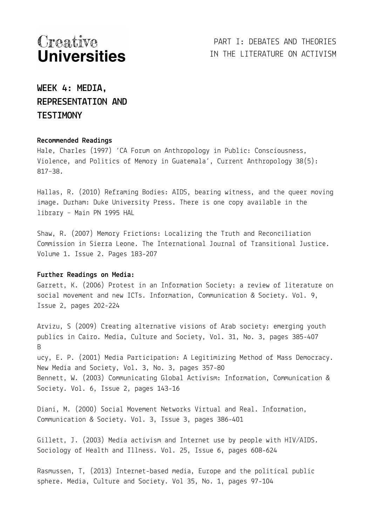## **WEEK 4: MEDIA, REPRESENTATION AND TESTIMONY**

#### **Recommended Readings**

Hale, Charles (1997) 'CA Forum on Anthropology in Public: Consciousness, Violence, and Politics of Memory in Guatemala', Current Anthropology 38(5): 817–38.

Hallas, R. (2010) Reframing Bodies: AIDS, bearing witness, and the queer moving image. Durham: Duke University Press. There is one copy available in the library – Main PN 1995 HAL

Shaw, R. (2007) Memory Frictions: Localizing the Truth and Reconciliation Commission in Sierra Leone. The International Journal of Transitional Justice. Volume 1. Issue 2. Pages 183-207

#### **Further Readings on Media:**

Garrett, K. (2006) Protest in an Information Society: a review of literature on social movement and new ICTs. Information, Communication & Society. Vol. 9, Issue 2, pages 202-224

Arvizu, S (2009) Creating alternative visions of Arab society: emerging youth publics in Cairo. Media, Culture and Society, Vol. 31, No. 3, pages 385-407 B ucy, E. P. (2001) Media Participation: A Legitimizing Method of Mass Democracy. New Media and Society, Vol. 3, No. 3, pages 357-80 Bennett, W. (2003) Communicating Global Activism: Information, Communication & Society. Vol. 6, Issue 2, pages 143-16

Diani, M. (2000) Social Movement Networks Virtual and Real. Information, Communication & Society. Vol. 3, Issue 3, pages 386-401

Gillett, J. (2003) Media activism and Internet use by people with HIV/AIDS. Sociology of Health and Illness. Vol. 25, Issue 6, pages 608-624

Rasmussen, T, (2013) Internet-based media, Europe and the political public sphere. Media, Culture and Society. Vol 35, No. 1, pages 97-104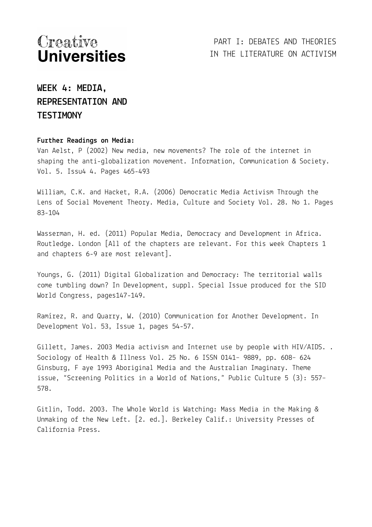## **WEEK 4: MEDIA, REPRESENTATION AND TESTIMONY**

#### **Further Readings on Media:**

Van Aelst, P (2002) New media, new movements? The role of the internet in shaping the anti-globalization movement. Information, Communication & Society. Vol. 5. Issu4 4. Pages 465-493

William, C.K. and Hacket, R.A. (2006) Democratic Media Activism Through the Lens of Social Movement Theory. Media, Culture and Society Vol. 28. No 1. Pages 83-104

Wasserman, H. ed. (2011) Popular Media, Democracy and Development in Africa. Routledge. London [All of the chapters are relevant. For this week Chapters 1 and chapters 6-9 are most relevant].

Youngs, G. (2011) Digital Globalization and Democracy: The territorial walls come tumbling down? In Development, suppl. Special Issue produced for the SID World Congress, pages147-149.

Ramírez, R. and Quarry, W. (2010) Communication for Another Development. In Development Vol. 53, Issue 1, pages 54-57.

Gillett, James. 2003 Media activism and Internet use by people with HIV/AIDS. . Sociology of Health & Illness Vol. 25 No. 6 ISSN 0141– 9889, pp. 608– 624 Ginsburg, F aye 1993 Aboriginal Media and the Australian Imaginary. Theme issue, "Screening Politics in a World of Nations," Public Culture 5 (3): 557– 578.

Gitlin, Todd. 2003. The Whole World is Watching: Mass Media in the Making & Unmaking of the New Left. [2. ed.]. Berkeley Calif.: University Presses of California Press.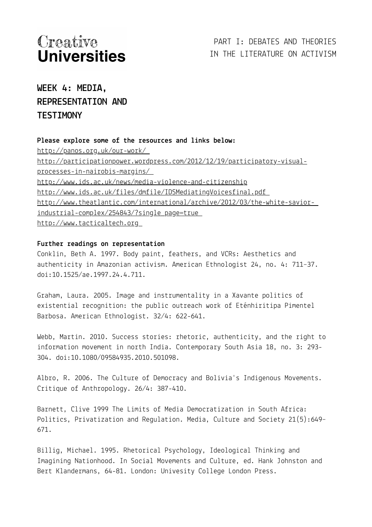## **WEEK 4: MEDIA, REPRESENTATION AND TESTIMONY**

#### **Please explore some of the resources and links below:**

<http://panos.org.uk/our-work/> [http://participationpower.wordpress.com/2012/12/19/participatory-visual](http://participationpower.wordpress.com/2012/12/19/participatory-visual-%20processes-in-nairobis-margins/)processes-in-nairobis-margins/ <http://www.ids.ac.uk/news/media-violence-and-citizenship> <http://www.ids.ac.uk/files/dmfile/IDSMediatingVoicesfinal.pdf> [http://www.theatlantic.com/international/archive/2012/03/the-white-savior](http://www.theatlantic.com/international/archive/2012/03/the-white-savior-%20industrial-complex/254843/?single_page=true)[industrial-complex/254843/?single\\_page=true](http://www.theatlantic.com/international/archive/2012/03/the-white-savior-%20industrial-complex/254843/?single_page=true) [http://www.tacticaltech.org](http://www.tacticaltech.org/)

#### **Further readings on representation**

Conklin, Beth A. 1997. Body paint, feathers, and VCRs: Aesthetics and authenticity in Amazonian activism. American Ethnologist 24, no. 4: 711–37. doi:10.1525/ae.1997.24.4.711.

Graham, Laura. 2005. Image and instrumentality in a Xavante politics of existential recognition: the public outreach work of Eténhiritipa Pimentel Barbosa. American Ethnologist. 32/4: 622-641.

Webb, Martin. 2010. Success stories: rhetoric, authenticity, and the right to information movement in north India. Contemporary South Asia 18, no. 3: 293- 304. doi:10.1080/09584935.2010.501098.

Albro, R. 2006. The Culture of Democracy and Bolivia's Indigenous Movements. Critique of Anthropology. 26/4: 387-410.

Barnett, Clive 1999 The Limits of Media Democratization in South Africa: Politics, Privatization and Regulation. Media, Culture and Society 21(5):649– 671.

Billig, Michael. 1995. Rhetorical Psychology, Ideological Thinking and Imagining Nationhood. In Social Movements and Culture, ed. Hank Johnston and Bert Klandermans, 64-81. London: Univesity College London Press.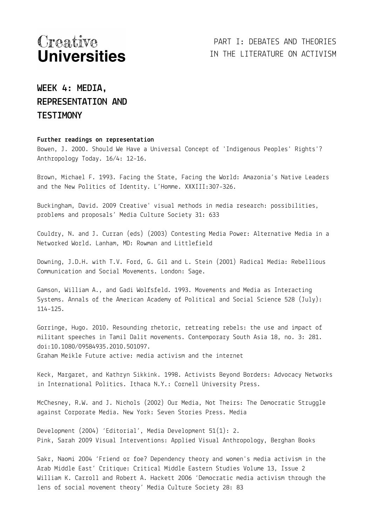## **WEEK 4: MEDIA, REPRESENTATION AND TESTIMONY**

#### **Further readings on representation**

Bowen, J. 2000. Should We Have a Universal Concept of 'Indigenous Peoples' Rights'? Anthropology Today. 16/4: 12-16.

Brown, Michael F. 1993. Facing the State, Facing the World: Amazonia's Native Leaders and the New Politics of Identity. L'Homme. XXXIII:307-326.

Buckingham, David. 2009 Creative' visual methods in media research: possibilities, problems and proposals' Media Culture Society 31: 633

Couldry, N. and J. Curran (eds) (2003) Contesting Media Power: Alternative Media in a Networked World. Lanham, MD: Rowman and Littlefield

Downing, J.D.H. with T.V. Ford, G. Gil and L. Stein (2001) Radical Media: Rebellious Communication and Social Movements. London: Sage.

Gamson, William A., and Gadi Wolfsfeld. 1993. Movements and Media as Interacting Systems. Annals of the American Academy of Political and Social Science 528 (July): 114-125.

Gorringe, Hugo. 2010. Resounding rhetoric, retreating rebels: the use and impact of militant speeches in Tamil Dalit movements. Contemporary South Asia 18, no. 3: 281. doi:10.1080/09584935.2010.501097. Graham Meikle Future active: media activism and the internet

Keck, Margaret, and Kathryn Sikkink. 1998. Activists Beyond Borders: Advocacy Networks in International Politics. Ithaca N.Y.: Cornell University Press.

McChesney, R.W. and J. Nichols (2002) Our Media, Not Theirs: The Democratic Struggle against Corporate Media. New York: Seven Stories Press. Media

Development (2004) 'Editorial', Media Development 51(1): 2. Pink, Sarah 2009 Visual Interventions: Applied Visual Anthropology, Berghan Books

Sakr, Naomi 2004 'Friend or foe? Dependency theory and women's media activism in the Arab Middle East' Critique: Critical Middle Eastern Studies Volume 13, Issue 2 William K. Carroll and Robert A. Hackett 2006 'Democratic media activism through the lens of social movement theory' Media Culture Society 28: 83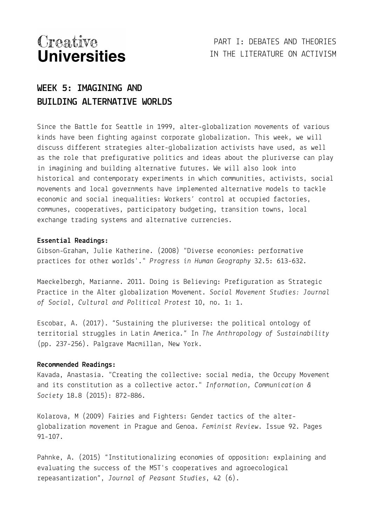PART I: DEBATES AND THEORIES IN THE LITERATURE ON ACTIVISM

## **WEEK 5: IMAGINING AND BUILDING ALTERNATIVE WORLDS**

Since the Battle for Seattle in 1999, alter-globalization movements of various kinds have been fighting against corporate globalization. This week, we will discuss different strategies alter-globalization activists have used, as well as the role that prefigurative politics and ideas about the pluriverse can play in imagining and building alternative futures. We will also look into historical and contemporary experiments in which communities, activists, social movements and local governments have implemented alternative models to tackle economic and social inequalities: Workers' control at occupied factories, communes, cooperatives, participatory budgeting, transition towns, local exchange trading systems and alternative currencies.

#### **Essential Readings:**

Gibson-Graham, Julie Katherine. (2008) "Diverse economies: performative practices for other worlds'." *Progress in Human Geography* 32.5: 613-632.

Maeckelbergh, Marianne. 2011. Doing is Believing: Prefiguration as Strategic Practice in the Alter globalization Movement. *Social Movement Studies: Journal of Social, Cultural and Political Protest* 10, no. 1: 1.

Escobar, A. (2017). "Sustaining the pluriverse: the political ontology of territorial struggles in Latin America." In *The Anthropology of Sustainability* (pp. 237-256). Palgrave Macmillan, New York.

#### **Recommended Readings:**

Kavada, Anastasia. "Creating the collective: social media, the Occupy Movement and its constitution as a collective actor." *Information, Communication & Society* 18.8 (2015): 872-886.

Kolarova, M (2009) Fairies and Fighters: Gender tactics of the alterglobalization movement in Prague and Genoa. *Feminist Review*. Issue 92. Pages 91-107.

Pahnke, A. (2015) "Institutionalizing economies of opposition: explaining and evaluating the success of the MST's cooperatives and agroecological repeasantization", *Journal of Peasant Studies*, 42 (6).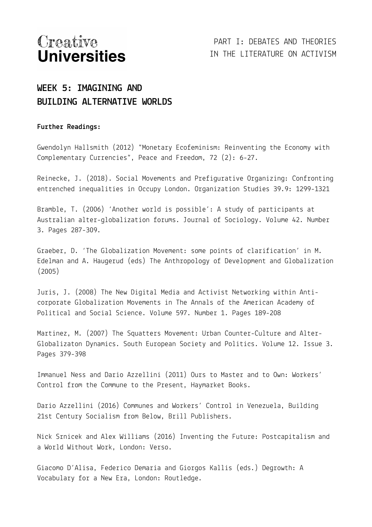PART I: DEBATES AND THEORIES IN THE LITERATURE ON ACTIVISM

## **WEEK 5: IMAGINING AND BUILDING ALTERNATIVE WORLDS**

#### **Further Readings:**

Gwendolyn Hallsmith (2012) "Monetary Ecofeminism: Reinventing the Economy with Complementary Currencies", Peace and Freedom, 72 (2): 6-27.

Reinecke, J. (2018). Social Movements and Prefigurative Organizing: Confronting entrenched inequalities in Occupy London. Organization Studies 39.9: 1299-1321

Bramble, T. (2006) 'Another world is possible': A study of participants at Australian alter-globalization forums. Journal of Sociology. Volume 42. Number 3. Pages 287-309.

Graeber, D. 'The Globalization Movement: some points of clarification' in M. Edelman and A. Haugerud (eds) The Anthropology of Development and Globalization (2005)

Juris, J. (2008) The New Digital Media and Activist Networking within Anticorporate Globalization Movements in The Annals of the American Academy of Political and Social Science. Volume 597. Number 1. Pages 189-208

Martinez, M. (2007) The Squatters Movement: Urban Counter-Culture and Alter-Globalizaton Dynamics. South European Society and Politics. Volume 12. Issue 3. Pages 379-398

Immanuel Ness and Dario Azzellini (2011) Ours to Master and to Own: Workers' Control from the Commune to the Present, Haymarket Books.

Dario Azzellini (2016) Communes and Workers' Control in Venezuela, Building 21st Century Socialism from Below, Brill Publishers.

Nick Srnicek and Alex Williams (2016) Inventing the Future: Postcapitalism and a World Without Work, London: Verso.

Giacomo D'Alisa, Federico Demaria and Giorgos Kallis (eds.) Degrowth: A Vocabulary for a New Era, London: Routledge.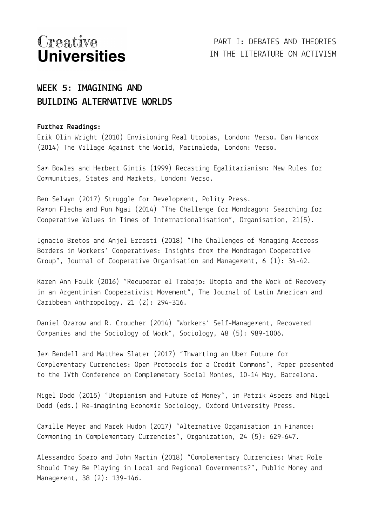## **WEEK 5: IMAGINING AND BUILDING ALTERNATIVE WORLDS**

#### **Further Readings:**

Erik Olin Wright (2010) Envisioning Real Utopias, London: Verso. Dan Hancox (2014) The Village Against the World, Marinaleda, London: Verso.

Sam Bowles and Herbert Gintis (1999) Recasting Egalitarianism: New Rules for Communities, States and Markets, London: Verso.

Ben Selwyn (2017) Struggle for Development, Polity Press. Ramon Flecha and Pun Ngai (2014) "The Challenge for Mondragon: Searching for Cooperative Values in Times of Internationalisation", Organisation, 21(5).

Ignacio Bretos and Anjel Errasti (2018) "The Challenges of Managing Accross Borders in Workers' Cooperatives: Insights from the Mondragon Cooperative Group", Journal of Cooperative Organisation and Management, 6 (1): 34-42.

Karen Ann Faulk (2016) "Recuperar el Trabajo: Utopia and the Work of Recovery in an Argentinian Cooperativist Movement", The Journal of Latin American and Caribbean Anthropology, 21 (2): 294-316.

Daniel Ozarow and R. Croucher (2014) "Workers' Self-Management, Recovered Companies and the Sociology of Work", Sociology, 48 (5): 989-1006.

Jem Bendell and Matthew Slater (2017) "Thwarting an Uber Future for Complementary Currencies: Open Protocols for a Credit Commons", Paper presented to the IVth Conference on Complemetary Social Monies, 10-14 May, Barcelona.

Nigel Dodd (2015) "Utopianism and Future of Money", in Patrik Aspers and Nigel Dodd (eds.) Re-imagining Economic Sociology, Oxford University Press.

Camille Meyer and Marek Hudon (2017) "Alternative Organisation in Finance: Commoning in Complementary Currencies", Organization, 24 (5): 629-647.

Alessandro Sparo and John Martin (2018) "Complementary Currencies: What Role Should They Be Playing in Local and Regional Governments?", Public Money and Management, 38 (2): 139-146.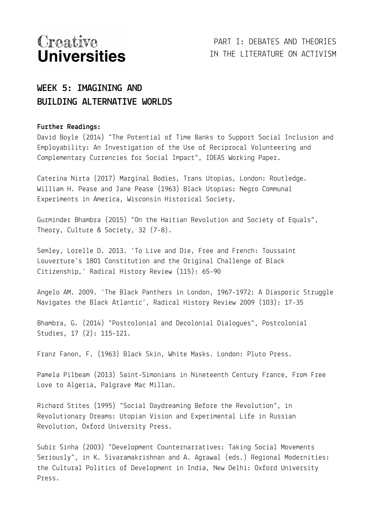PART I: DEBATES AND THEORIES IN THE LITERATURE ON ACTIVISM

## **WEEK 5: IMAGINING AND BUILDING ALTERNATIVE WORLDS**

#### **Further Readings:**

David Boyle (2014) "The Potential of Time Banks to Support Social Inclusion and Employability: An Investigation of the Use of Reciprocal Volunteering and Complementary Currencies for Social Impact", IDEAS Working Paper.

Caterina Nirta (2017) Marginal Bodies, Trans Utopias, London: Routledge. William H. Pease and Jane Pease (1963) Black Utopias: Negro Communal Experiments in America, Wisconsin Historical Society.

Gurminder Bhambra (2015) "On the Haitian Revolution and Society of Equals", Theory, Culture & Society, 32 (7-8).

Semley, Lorelle D. 2013. 'To Live and Die, Free and French: Toussaint Louverture's 1801 Constitution and the Original Challenge of Black Citizenship,' Radical History Review (115): 65-90

Angelo AM. 2009. 'The Black Panthers in London, 1967-1972: A Diasporic Struggle Navigates the Black Atlantic', Radical History Review 2009 (103): 17-35

Bhambra, G. (2014) "Postcolonial and Decolonial Dialogues", Postcolonial Studies, 17 (2): 115-121.

Franz Fanon, F. (1963) Black Skin, White Masks. London: Pluto Press.

Pamela Pilbeam (2013) Saint-Simonians in Nineteenth Century France, From Free Love to Algeria, Palgrave Mac Millan.

Richard Stites (1995) "Social Daydreaming Before the Revolution", in Revolutionary Dreams: Utopian Vision and Experimental Life in Russian Revolution, Oxford University Press.

Subir Sinha (2003) "Development Counternarratives: Taking Social Movements Seriously", in K. Sivaramakrishnan and A. Agrawal (eds.) Regional Modernities: the Cultural Politics of Development in India, New Delhi: Oxford University Press.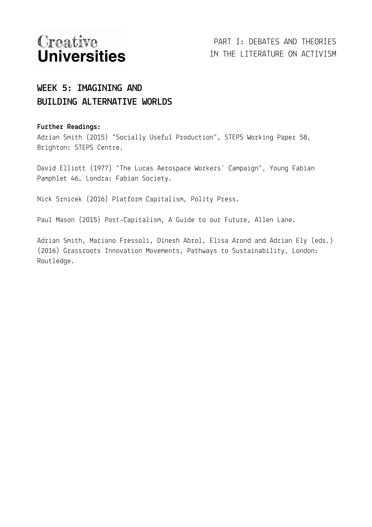## **WEEK 5: IMAGINING AND BUILDING ALTERNATIVE WORLDS**

#### **Further Readings:**

Adrian Smith (2015) "Socially Useful Production", STEPS Working Paper 58, Brighton: STEPS Centre.

David Elliott (1977) "The Lucas Aerospace Workers' Campaign", Young Fabian Pamphlet 46, Londra: Fabian Society.

Nick Srnicek (2016) Platform Capitalism, Polity Press.

Paul Mason (2015) Post-Capitalism, A Guide to our Future, Allen Lane.

Adrian Smith, Mariano Fressoli, Dinesh Abrol, Elisa Arond and Adrian Ely (eds.) (2016) Grassroots Innovation Movements, Pathways to Sustainability, London: Routledge.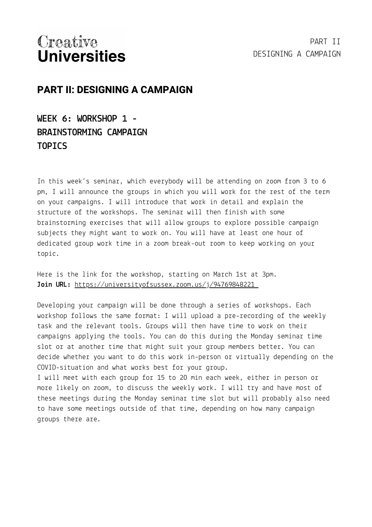## **PART II: DESIGNING A CAMPAIGN**

**WEEK 6: WORKSHOP 1 - BRAINSTORMING CAMPAIGN TOPICS**

In this week's seminar, which everybody will be attending on zoom from 3 to 6 pm, I will announce the groups in which you will work for the rest of the term on your campaigns. I will introduce that work in detail and explain the structure of the workshops. The seminar will then finish with some brainstorming exercises that will allow groups to explore possible campaign subjects they might want to work on. You will have at least one hour of dedicated group work time in a zoom break-out room to keep working on your topic.

Here is the link for the workshop, starting on March 1st at 3pm. **Join URL:** <https://universityofsussex.zoom.us/j/94769848221>

Developing your campaign will be done through a series of workshops. Each workshop follows the same format: I will upload a pre-recording of the weekly task and the relevant tools. Groups will then have time to work on their campaigns applying the tools. You can do this during the Monday seminar time slot or at another time that might suit your group members better. You can decide whether you want to do this work in-person or virtually depending on the COVID-situation and what works best for your group.

I will meet with each group for 15 to 20 min each week, either in person or more likely on zoom, to discuss the weekly work. I will try and have most of these meetings during the Monday seminar time slot but will probably also need to have some meetings outside of that time, depending on how many campaign groups there are.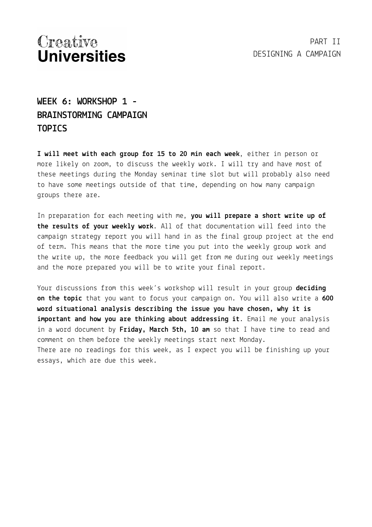## **WEEK 6: WORKSHOP 1 - BRAINSTORMING CAMPAIGN TOPICS**

**I will meet with each group for 15 to 20 min each week**, either in person or more likely on zoom, to discuss the weekly work. I will try and have most of these meetings during the Monday seminar time slot but will probably also need to have some meetings outside of that time, depending on how many campaign groups there are.

In preparation for each meeting with me, **you will prepare a short write up of the results of your weekly work**. All of that documentation will feed into the campaign strategy report you will hand in as the final group project at the end of term. This means that the more time you put into the weekly group work and the write up, the more feedback you will get from me during our weekly meetings and the more prepared you will be to write your final report.

Your discussions from this week's workshop will result in your group **deciding on the topic** that you want to focus your campaign on. You will also write a **600 word situational analysis describing the issue you have chosen, why it is important and how you are thinking about addressing it**. Email me your analysis in a word document by **Friday, March 5th, 10 am** so that I have time to read and comment on them before the weekly meetings start next Monday. There are no readings for this week, as I expect you will be finishing up your essays, which are due this week.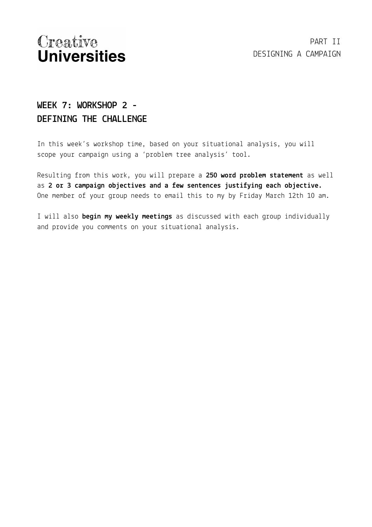## **WEEK 7: WORKSHOP 2 - DEFINING THE CHALLENGE**

In this week's workshop time, based on your situational analysis, you will scope your campaign using a 'problem tree analysis' tool.

Resulting from this work, you will prepare a **250 word problem statement** as well as **2 or 3 campaign objectives and a few sentences justifying each objective.** One member of your group needs to email this to my by Friday March 12th 10 am.

I will also **begin my weekly meetings** as discussed with each group individually and provide you comments on your situational analysis.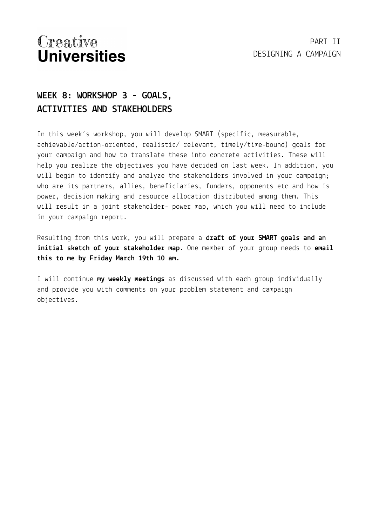## **WEEK 8: WORKSHOP 3 - GOALS, ACTIVITIES AND STAKEHOLDERS**

In this week's workshop, you will develop SMART (specific, measurable, achievable/action-oriented, realistic/ relevant, timely/time-bound) goals for your campaign and how to translate these into concrete activities. These will help you realize the objectives you have decided on last week. In addition, you will begin to identify and analyze the stakeholders involved in your campaign; who are its partners, allies, beneficiaries, funders, opponents etc and how is power, decision making and resource allocation distributed among them. This will result in a joint stakeholder- power map, which you will need to include in your campaign report.

Resulting from this work, you will prepare a **draft of your SMART goals and an initial sketch of your stakeholder map.** One member of your group needs to **email this to me by Friday March 19th 10 am.**

I will continue **my weekly meetings** as discussed with each group individually and provide you with comments on your problem statement and campaign objectives.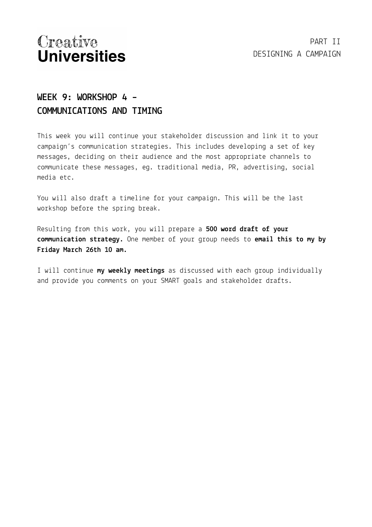## **WEEK 9: WORKSHOP 4 – COMMUNICATIONS AND TIMING**

This week you will continue your stakeholder discussion and link it to your campaign's communication strategies. This includes developing a set of key messages, deciding on their audience and the most appropriate channels to communicate these messages, eg. traditional media, PR, advertising, social media etc.

You will also draft a timeline for your campaign. This will be the last workshop before the spring break.

Resulting from this work, you will prepare a **500 word draft of your communication strategy.** One member of your group needs to **email this to my by Friday March 26th 10 am.**

I will continue **my weekly meetings** as discussed with each group individually and provide you comments on your SMART goals and stakeholder drafts.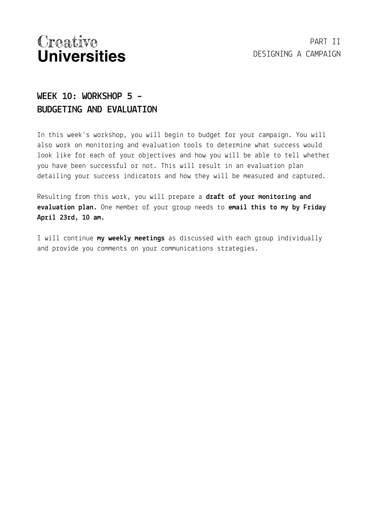## **WEEK 10: WORKSHOP 5 – BUDGETING AND EVALUATION**

In this week's workshop, you will begin to budget for your campaign. You will also work on monitoring and evaluation tools to determine what success would look like for each of your objectives and how you will be able to tell whether you have been successful or not. This will result in an evaluation plan detailing your success indicators and how they will be measured and captured.

Resulting from this work, you will prepare a **draft of your monitoring and evaluation plan.** One member of your group needs to **email this to my by Friday April 23rd, 10 am.**

I will continue **my weekly meetings** as discussed with each group individually and provide you comments on your communications strategies.